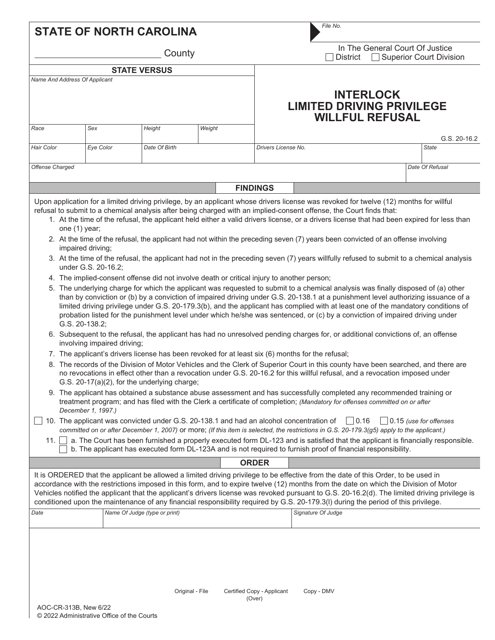|                                                                                                                                                                                                                                                                                                                                                                                                                                                                                                                                                                                                                                                                                                                                                                                                                                                                                                                                                                                                                                                                                                                                                                                                                                                                                                                                                                                                                                                                                                                                                                                                                                                                                                                                                                                                                                                                                                                                                                                                                                                                                                                                                                                                                                                                                                                                                                                                                                                                                                                                                                                                                                                                                                                                                                                                                                                |                       | <b>STATE OF NORTH CAROLINA</b> |        |                                      | File No.                                                                             |                 |  |  |
|------------------------------------------------------------------------------------------------------------------------------------------------------------------------------------------------------------------------------------------------------------------------------------------------------------------------------------------------------------------------------------------------------------------------------------------------------------------------------------------------------------------------------------------------------------------------------------------------------------------------------------------------------------------------------------------------------------------------------------------------------------------------------------------------------------------------------------------------------------------------------------------------------------------------------------------------------------------------------------------------------------------------------------------------------------------------------------------------------------------------------------------------------------------------------------------------------------------------------------------------------------------------------------------------------------------------------------------------------------------------------------------------------------------------------------------------------------------------------------------------------------------------------------------------------------------------------------------------------------------------------------------------------------------------------------------------------------------------------------------------------------------------------------------------------------------------------------------------------------------------------------------------------------------------------------------------------------------------------------------------------------------------------------------------------------------------------------------------------------------------------------------------------------------------------------------------------------------------------------------------------------------------------------------------------------------------------------------------------------------------------------------------------------------------------------------------------------------------------------------------------------------------------------------------------------------------------------------------------------------------------------------------------------------------------------------------------------------------------------------------------------------------------------------------------------------------------------------------|-----------------------|--------------------------------|--------|--------------------------------------|--------------------------------------------------------------------------------------|-----------------|--|--|
| County                                                                                                                                                                                                                                                                                                                                                                                                                                                                                                                                                                                                                                                                                                                                                                                                                                                                                                                                                                                                                                                                                                                                                                                                                                                                                                                                                                                                                                                                                                                                                                                                                                                                                                                                                                                                                                                                                                                                                                                                                                                                                                                                                                                                                                                                                                                                                                                                                                                                                                                                                                                                                                                                                                                                                                                                                                         |                       |                                |        |                                      | In The General Court Of Justice<br><b>Superior Court Division</b><br><b>District</b> |                 |  |  |
| <b>STATE VERSUS</b>                                                                                                                                                                                                                                                                                                                                                                                                                                                                                                                                                                                                                                                                                                                                                                                                                                                                                                                                                                                                                                                                                                                                                                                                                                                                                                                                                                                                                                                                                                                                                                                                                                                                                                                                                                                                                                                                                                                                                                                                                                                                                                                                                                                                                                                                                                                                                                                                                                                                                                                                                                                                                                                                                                                                                                                                                            |                       |                                |        |                                      |                                                                                      |                 |  |  |
| Name And Address Of Applicant                                                                                                                                                                                                                                                                                                                                                                                                                                                                                                                                                                                                                                                                                                                                                                                                                                                                                                                                                                                                                                                                                                                                                                                                                                                                                                                                                                                                                                                                                                                                                                                                                                                                                                                                                                                                                                                                                                                                                                                                                                                                                                                                                                                                                                                                                                                                                                                                                                                                                                                                                                                                                                                                                                                                                                                                                  |                       |                                |        |                                      | <b>INTERLOCK</b><br><b>LIMITED DRIVING PRIVILEGE</b><br><b>WILLFUL REFUSAL</b>       |                 |  |  |
| Race                                                                                                                                                                                                                                                                                                                                                                                                                                                                                                                                                                                                                                                                                                                                                                                                                                                                                                                                                                                                                                                                                                                                                                                                                                                                                                                                                                                                                                                                                                                                                                                                                                                                                                                                                                                                                                                                                                                                                                                                                                                                                                                                                                                                                                                                                                                                                                                                                                                                                                                                                                                                                                                                                                                                                                                                                                           | Sex                   | Height                         | Weight |                                      |                                                                                      | G.S. 20-16.2    |  |  |
| Hair Color                                                                                                                                                                                                                                                                                                                                                                                                                                                                                                                                                                                                                                                                                                                                                                                                                                                                                                                                                                                                                                                                                                                                                                                                                                                                                                                                                                                                                                                                                                                                                                                                                                                                                                                                                                                                                                                                                                                                                                                                                                                                                                                                                                                                                                                                                                                                                                                                                                                                                                                                                                                                                                                                                                                                                                                                                                     | Eye Color             | Date Of Birth                  |        | Drivers License No.                  |                                                                                      | <b>State</b>    |  |  |
| Offense Charged                                                                                                                                                                                                                                                                                                                                                                                                                                                                                                                                                                                                                                                                                                                                                                                                                                                                                                                                                                                                                                                                                                                                                                                                                                                                                                                                                                                                                                                                                                                                                                                                                                                                                                                                                                                                                                                                                                                                                                                                                                                                                                                                                                                                                                                                                                                                                                                                                                                                                                                                                                                                                                                                                                                                                                                                                                |                       |                                |        |                                      |                                                                                      | Date Of Refusal |  |  |
|                                                                                                                                                                                                                                                                                                                                                                                                                                                                                                                                                                                                                                                                                                                                                                                                                                                                                                                                                                                                                                                                                                                                                                                                                                                                                                                                                                                                                                                                                                                                                                                                                                                                                                                                                                                                                                                                                                                                                                                                                                                                                                                                                                                                                                                                                                                                                                                                                                                                                                                                                                                                                                                                                                                                                                                                                                                |                       |                                |        | <b>FINDINGS</b>                      |                                                                                      |                 |  |  |
| Upon application for a limited driving privilege, by an applicant whose drivers license was revoked for twelve (12) months for willful<br>refusal to submit to a chemical analysis after being charged with an implied-consent offense, the Court finds that:<br>1. At the time of the refusal, the applicant held either a valid drivers license, or a drivers license that had been expired for less than<br>one (1) year;<br>2. At the time of the refusal, the applicant had not within the preceding seven (7) years been convicted of an offense involving<br>impaired driving;<br>3. At the time of the refusal, the applicant had not in the preceding seven (7) years willfully refused to submit to a chemical analysis<br>under G.S. 20-16.2;<br>4. The implied-consent offense did not involve death or critical injury to another person;<br>5. The underlying charge for which the applicant was requested to submit to a chemical analysis was finally disposed of (a) other<br>than by conviction or (b) by a conviction of impaired driving under G.S. 20-138.1 at a punishment level authorizing issuance of a<br>limited driving privilege under G.S. 20-179.3(b), and the applicant has complied with at least one of the mandatory conditions of<br>probation listed for the punishment level under which he/she was sentenced, or (c) by a conviction of impaired driving under<br>G.S. 20-138.2;<br>6. Subsequent to the refusal, the applicant has had no unresolved pending charges for, or additional convictions of, an offense<br>involving impaired driving;<br>7. The applicant's drivers license has been revoked for at least six (6) months for the refusal;<br>8. The records of the Division of Motor Vehicles and the Clerk of Superior Court in this county have been searched, and there are<br>no revocations in effect other than a revocation under G.S. 20-16.2 for this willful refusal, and a revocation imposed under<br>G.S. 20-17(a)(2), for the underlying charge;<br>9. The applicant has obtained a substance abuse assessment and has successfully completed any recommended training or<br>treatment program; and has filed with the Clerk a certificate of completion; (Mandatory for offenses committed on or after<br>December 1, 1997.)<br>  0.16<br>10. The applicant was convicted under G.S. 20-138.1 and had an alcohol concentration of<br>$\vert$ 0.15 (use for offenses<br>committed on or after December 1, 2007) or more; (If this item is selected, the restrictions in G.S. 20-179.3(g5) apply to the applicant.)<br>a. The Court has been furnished a properly executed form DL-123 and is satisfied that the applicant is financially responsible.<br>11.<br>b. The applicant has executed form DL-123A and is not required to furnish proof of financial responsibility. |                       |                                |        |                                      |                                                                                      |                 |  |  |
|                                                                                                                                                                                                                                                                                                                                                                                                                                                                                                                                                                                                                                                                                                                                                                                                                                                                                                                                                                                                                                                                                                                                                                                                                                                                                                                                                                                                                                                                                                                                                                                                                                                                                                                                                                                                                                                                                                                                                                                                                                                                                                                                                                                                                                                                                                                                                                                                                                                                                                                                                                                                                                                                                                                                                                                                                                                |                       |                                |        | <b>ORDER</b>                         |                                                                                      |                 |  |  |
| It is ORDERED that the applicant be allowed a limited driving privilege to be effective from the date of this Order, to be used in<br>accordance with the restrictions imposed in this form, and to expire twelve (12) months from the date on which the Division of Motor<br>Vehicles notified the applicant that the applicant's drivers license was revoked pursuant to G.S. 20-16.2(d). The limited driving privilege is<br>conditioned upon the maintenance of any financial responsibility required by G.S. 20-179.3(I) during the period of this privilege.                                                                                                                                                                                                                                                                                                                                                                                                                                                                                                                                                                                                                                                                                                                                                                                                                                                                                                                                                                                                                                                                                                                                                                                                                                                                                                                                                                                                                                                                                                                                                                                                                                                                                                                                                                                                                                                                                                                                                                                                                                                                                                                                                                                                                                                                             |                       |                                |        |                                      |                                                                                      |                 |  |  |
| Date                                                                                                                                                                                                                                                                                                                                                                                                                                                                                                                                                                                                                                                                                                                                                                                                                                                                                                                                                                                                                                                                                                                                                                                                                                                                                                                                                                                                                                                                                                                                                                                                                                                                                                                                                                                                                                                                                                                                                                                                                                                                                                                                                                                                                                                                                                                                                                                                                                                                                                                                                                                                                                                                                                                                                                                                                                           |                       | Name Of Judge (type or print)  |        |                                      | Signature Of Judge                                                                   |                 |  |  |
|                                                                                                                                                                                                                                                                                                                                                                                                                                                                                                                                                                                                                                                                                                                                                                                                                                                                                                                                                                                                                                                                                                                                                                                                                                                                                                                                                                                                                                                                                                                                                                                                                                                                                                                                                                                                                                                                                                                                                                                                                                                                                                                                                                                                                                                                                                                                                                                                                                                                                                                                                                                                                                                                                                                                                                                                                                                | AOC-CR-313B, New 6/22 | Original - File                |        | Certified Copy - Applicant<br>(Over) | Copy - DMV                                                                           |                 |  |  |

© 2022 Administrative Office of the Courts